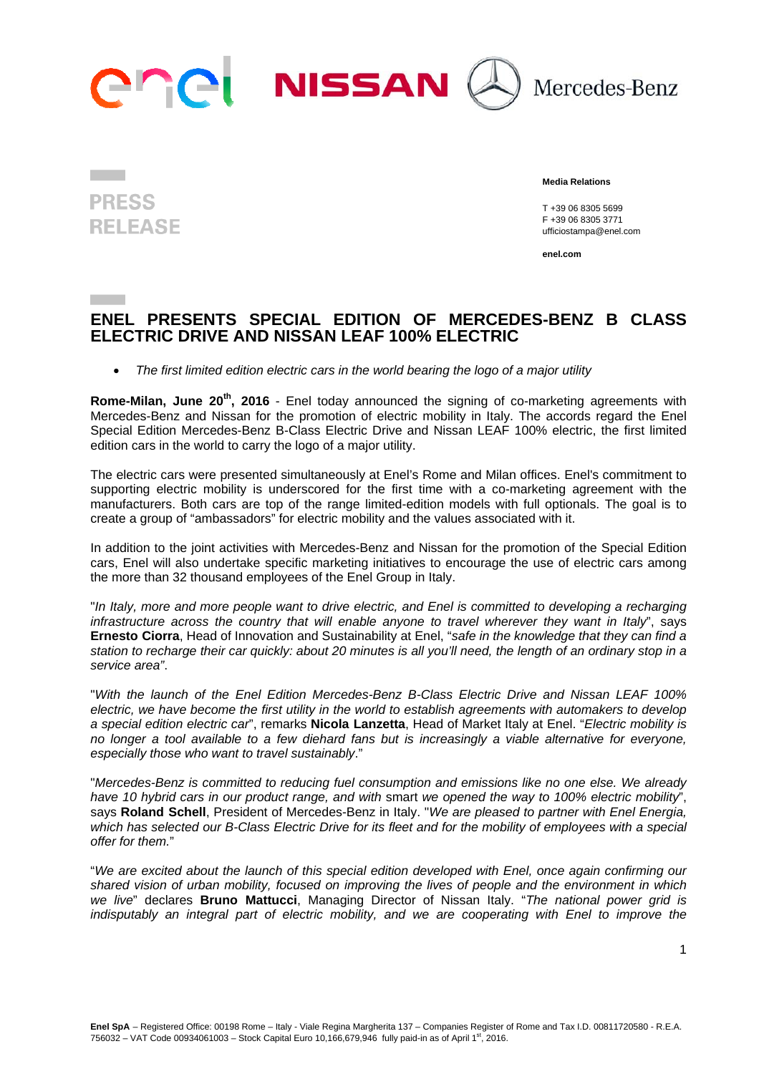

# **PRESS RELEASE**

 **Media Relations** 

 T +39 06 8305 5699 F +39 06 8305 3771 ufficiostampa@enel.com

**enel.com**

### **ENEL PRESENTS SPECIAL EDITION OF MERCEDES-BENZ B CLASS ELECTRIC DRIVE AND NISSAN LEAF 100% ELECTRIC**

*The first limited edition electric cars in the world bearing the logo of a major utility* 

**Rome-Milan, June 20<sup>th</sup>, 2016** - Enel today announced the signing of co-marketing agreements with Mercedes-Benz and Nissan for the promotion of electric mobility in Italy. The accords regard the Enel Special Edition Mercedes-Benz B-Class Electric Drive and Nissan LEAF 100% electric, the first limited edition cars in the world to carry the logo of a major utility.

The electric cars were presented simultaneously at Enel's Rome and Milan offices. Enel's commitment to supporting electric mobility is underscored for the first time with a co-marketing agreement with the manufacturers. Both cars are top of the range limited-edition models with full optionals. The goal is to create a group of "ambassadors" for electric mobility and the values associated with it.

In addition to the joint activities with Mercedes-Benz and Nissan for the promotion of the Special Edition cars, Enel will also undertake specific marketing initiatives to encourage the use of electric cars among the more than 32 thousand employees of the Enel Group in Italy.

"*In Italy, more and more people want to drive electric, and Enel is committed to developing a recharging infrastructure across the country that will enable anyone to travel wherever they want in Italy*", says **Ernesto Ciorra**, Head of Innovation and Sustainability at Enel, "*safe in the knowledge that they can find a station to recharge their car quickly: about 20 minutes is all you'll need, the length of an ordinary stop in a service area"*.

"*With the launch of the Enel Edition Mercedes-Benz B-Class Electric Drive and Nissan LEAF 100% electric, we have become the first utility in the world to establish agreements with automakers to develop a special edition electric car*", remarks **Nicola Lanzetta**, Head of Market Italy at Enel. "*Electric mobility is no longer a tool available to a few diehard fans but is increasingly a viable alternative for everyone, especially those who want to travel sustainably*."

"*Mercedes-Benz is committed to reducing fuel consumption and emissions like no one else. We already have 10 hybrid cars in our product range, and with* smart *we opened the way to 100% electric mobility*", says **Roland Schell**, President of Mercedes-Benz in Italy. "*We are pleased to partner with Enel Energia,*  which has selected our B-Class Electric Drive for its fleet and for the mobility of employees with a special *offer for them.*"

"*We are excited about the launch of this special edition developed with Enel, once again confirming our shared vision of urban mobility, focused on improving the lives of people and the environment in which we live*" declares **Bruno Mattucci**, Managing Director of Nissan Italy. "*The national power grid is indisputably an integral part of electric mobility, and we are cooperating with Enel to improve the*